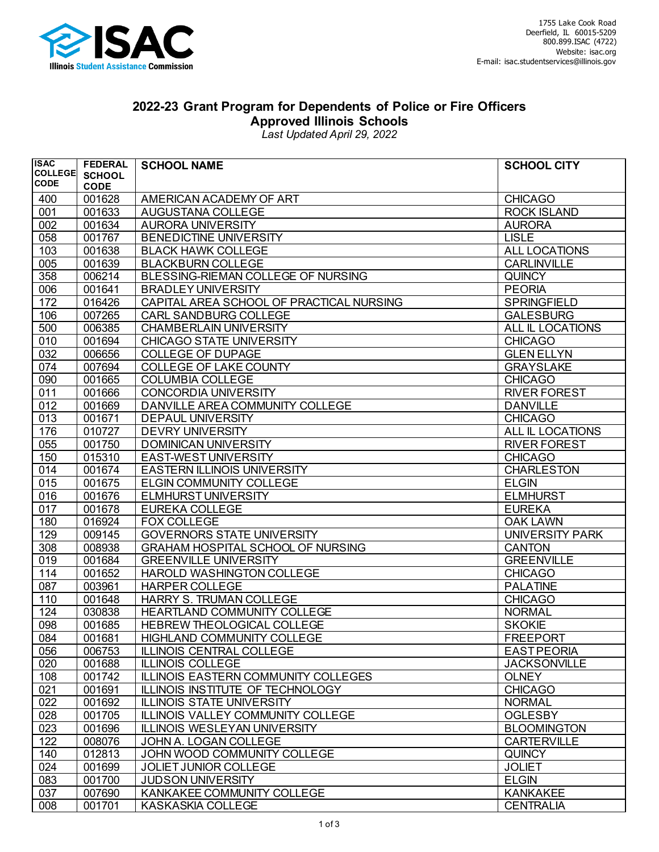

## **2022-23 Grant Program for Dependents of Police or Fire Officers Approved Illinois Schools**

*Last Updated April 29, 2022*

| <b>ISAC</b>                   | <b>FEDERAL</b>   | <b>SCHOOL NAME</b>                                       | <b>SCHOOL CITY</b>                     |
|-------------------------------|------------------|----------------------------------------------------------|----------------------------------------|
| <b>COLLEGE</b><br><b>CODE</b> | <b>SCHOOL</b>    |                                                          |                                        |
|                               | <b>CODE</b>      |                                                          |                                        |
| 400                           | 001628           | AMERICAN ACADEMY OF ART                                  | <b>CHICAGO</b>                         |
| 001                           | 001633           | AUGUSTANA COLLEGE                                        | <b>ROCK ISLAND</b>                     |
| 002                           | 001634           | <b>AURORA UNIVERSITY</b>                                 | <b>AURORA</b>                          |
| 058                           | 001767           | <b>BENEDICTINE UNIVERSITY</b>                            | <b>LISLE</b>                           |
| 103                           | 001638           | <b>BLACK HAWK COLLEGE</b>                                | ALL LOCATIONS                          |
| 005                           | 001639           | <b>BLACKBURN COLLEGE</b>                                 | <b>CARLINVILLE</b>                     |
| 358                           | 006214           | BLESSING-RIEMAN COLLEGE OF NURSING                       | <b>QUINCY</b>                          |
| 006                           | 001641           | <b>BRADLEY UNIVERSITY</b>                                | <b>PEORIA</b>                          |
| 172                           | 016426<br>007265 | CAPITAL AREA SCHOOL OF PRACTICAL NURSING                 | <b>SPRINGFIELD</b><br><b>GALESBURG</b> |
| 106                           |                  | <b>CARL SANDBURG COLLEGE</b>                             |                                        |
| 500                           | 006385           | <b>CHAMBERLAIN UNIVERSITY</b>                            | ALL IL LOCATIONS                       |
| 010<br>032                    | 001694<br>006656 | <b>CHICAGO STATE UNIVERSITY</b>                          | <b>CHICAGO</b><br><b>GLEN ELLYN</b>    |
| 074                           | 007694           | <b>COLLEGE OF DUPAGE</b>                                 | <b>GRAYSLAKE</b>                       |
| 090                           | 001665           | <b>COLLEGE OF LAKE COUNTY</b><br><b>COLUMBIA COLLEGE</b> | <b>CHICAGO</b>                         |
| 011                           | 001666           | <b>CONCORDIA UNIVERSITY</b>                              | <b>RIVER FOREST</b>                    |
| 012                           | 001669           | DANVILLE AREA COMMUNITY COLLEGE                          | <b>DANVILLE</b>                        |
| 013                           | 001671           | <b>DEPAUL UNIVERSITY</b>                                 | <b>CHICAGO</b>                         |
| 176                           | 010727           | <b>DEVRY UNIVERSITY</b>                                  | ALL IL LOCATIONS                       |
| 055                           | 001750           | <b>DOMINICAN UNIVERSITY</b>                              | <b>RIVER FOREST</b>                    |
| 150                           | 015310           | EAST-WEST UNIVERSITY                                     | <b>CHICAGO</b>                         |
| 014                           | 001674           | <b>EASTERN ILLINOIS UNIVERSITY</b>                       | <b>CHARLESTON</b>                      |
| 015                           | 001675           | <b>ELGIN COMMUNITY COLLEGE</b>                           | <b>ELGIN</b>                           |
| 016                           | 001676           | <b>ELMHURST UNIVERSITY</b>                               | <b>ELMHURST</b>                        |
| 017                           | 001678           | <b>EUREKA COLLEGE</b>                                    | <b>EUREKA</b>                          |
| 180                           | 016924           | <b>FOX COLLEGE</b>                                       | <b>OAK LAWN</b>                        |
| 129                           | 009145           | <b>GOVERNORS STATE UNIVERSITY</b>                        | UNIVERSITY PARK                        |
| 308                           | 008938           | <b>GRAHAM HOSPITAL SCHOOL OF NURSING</b>                 | <b>CANTON</b>                          |
| 019                           | 001684           | <b>GREENVILLE UNIVERSITY</b>                             | <b>GREENVILLE</b>                      |
| 114                           | 001652           | HAROLD WASHINGTON COLLEGE                                | <b>CHICAGO</b>                         |
| 087                           | 003961           | <b>HARPER COLLEGE</b>                                    | <b>PALATINE</b>                        |
| 110                           | 001648           | <b>HARRY S. TRUMAN COLLEGE</b>                           | <b>CHICAGO</b>                         |
| 124                           | 030838           | HEARTLAND COMMUNITY COLLEGE                              | <b>NORMAL</b>                          |
| 098                           | 001685           | HEBREW THEOLOGICAL COLLEGE                               | <b>SKOKIE</b>                          |
| 084                           | 001681           | <b>HIGHLAND COMMUNITY COLLEGE</b>                        | <b>FREEPORT</b>                        |
| 056                           | 006753           | ILLINOIS CENTRAL COLLEGE                                 | <b>EAST PEORIA</b>                     |
| 020                           | 001688           | <b>ILLINOIS COLLEGE</b>                                  | <b>JACKSONVILLE</b>                    |
| 108                           | 001742           | ILLINOIS EASTERN COMMUNITY COLLEGES                      | <b>OLNEY</b>                           |
| 021                           | 001691           | ILLINOIS INSTITUTE OF TECHNOLOGY                         | <b>CHICAGO</b>                         |
| 022                           | 001692           | <b>ILLINOIS STATE UNIVERSITY</b>                         | <b>NORMAL</b>                          |
| 028                           | 001705           | ILLINOIS VALLEY COMMUNITY COLLEGE                        | <b>OGLESBY</b>                         |
| 023                           | 001696           | <b>ILLINOIS WESLEYAN UNIVERSITY</b>                      | <b>BLOOMINGTON</b>                     |
| 122                           | 008076           | JOHN A. LOGAN COLLEGE                                    | <b>CARTERVILLE</b>                     |
| 140                           | 012813           | JOHN WOOD COMMUNITY COLLEGE                              | <b>QUINCY</b>                          |
| 024                           | 001699           | JOLIET JUNIOR COLLEGE                                    | <b>JOLIET</b>                          |
| 083                           | 001700           | <b>JUDSON UNIVERSITY</b>                                 | <b>ELGIN</b>                           |
| 037                           | 007690           | KANKAKEE COMMUNITY COLLEGE                               | <b>KANKAKEE</b>                        |
| 008                           | 001701           | <b>KASKASKIA COLLEGE</b>                                 | <b>CENTRALIA</b>                       |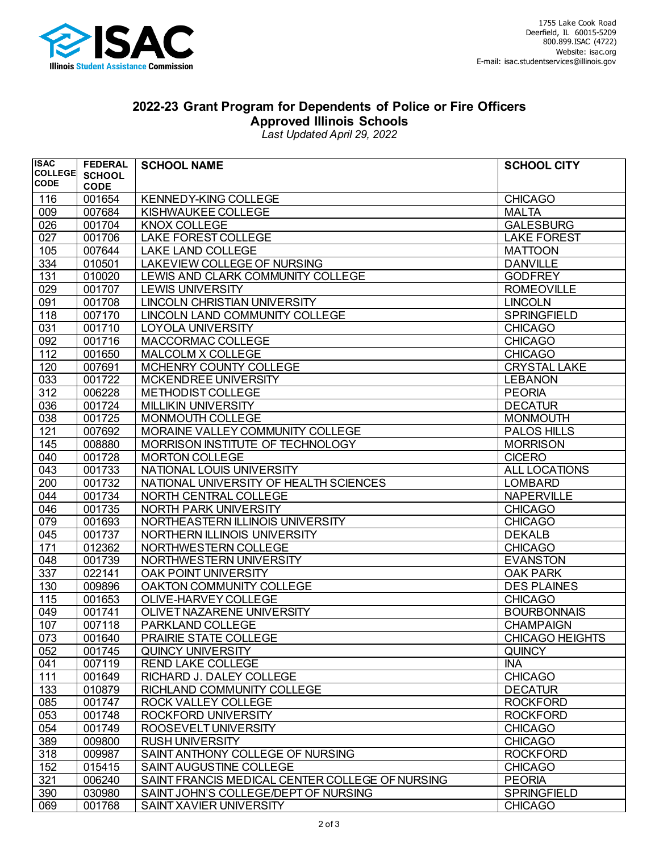

## **2022-23 Grant Program for Dependents of Police or Fire Officers Approved Illinois Schools**

*Last Updated April 29, 2022*

| <b>ISAC</b>    | <b>FEDERAL</b> | <b>SCHOOL NAME</b>                              | <b>SCHOOL CITY</b>  |
|----------------|----------------|-------------------------------------------------|---------------------|
| <b>COLLEGE</b> | <b>SCHOOL</b>  |                                                 |                     |
| <b>CODE</b>    | <b>CODE</b>    |                                                 |                     |
| 116            | 001654         | <b>KENNEDY-KING COLLEGE</b>                     | <b>CHICAGO</b>      |
| 009            | 007684         | KISHWAUKEE COLLEGE                              | <b>MALTA</b>        |
| 026            | 001704         | <b>KNOX COLLEGE</b>                             | <b>GALESBURG</b>    |
| 027            | 001706         | LAKE FOREST COLLEGE                             | <b>LAKE FOREST</b>  |
| 105            | 007644         | LAKE LAND COLLEGE                               | <b>MATTOON</b>      |
| 334            | 010501         | LAKEVIEW COLLEGE OF NURSING                     | <b>DANVILLE</b>     |
| 131            | 010020         | LEWIS AND CLARK COMMUNITY COLLEGE               | <b>GODFREY</b>      |
| 029            | 001707         | <b>LEWIS UNIVERSITY</b>                         | <b>ROMEOVILLE</b>   |
| 091            | 001708         | LINCOLN CHRISTIAN UNIVERSITY                    | <b>LINCOLN</b>      |
| 118            | 007170         | LINCOLN LAND COMMUNITY COLLEGE                  | <b>SPRINGFIELD</b>  |
| 031            | 001710         | LOYOLA UNIVERSITY                               | <b>CHICAGO</b>      |
| 092            | 001716         | MACCORMAC COLLEGE                               | <b>CHICAGO</b>      |
| 112            | 001650         | MALCOLM X COLLEGE                               | <b>CHICAGO</b>      |
| 120            | 007691         | MCHENRY COUNTY COLLEGE                          | <b>CRYSTAL LAKE</b> |
| 033            | 001722         | MCKENDREE UNIVERSITY                            | <b>LEBANON</b>      |
| 312            | 006228         | METHODIST COLLEGE                               | <b>PEORIA</b>       |
| 036            | 001724         | <b>MILLIKIN UNIVERSITY</b>                      | <b>DECATUR</b>      |
| 038            | 001725         | MONMOUTH COLLEGE                                | <b>MONMOUTH</b>     |
| 121            | 007692         | MORAINE VALLEY COMMUNITY COLLEGE                | PALOS HILLS         |
| 145            | 008880         | MORRISON INSTITUTE OF TECHNOLOGY                | <b>MORRISON</b>     |
| 040            | 001728         | <b>MORTON COLLEGE</b>                           | <b>CICERO</b>       |
| 043            | 001733         | NATIONAL LOUIS UNIVERSITY                       | ALL LOCATIONS       |
| 200            | 001732         | NATIONAL UNIVERSITY OF HEALTH SCIENCES          | <b>LOMBARD</b>      |
| 044            | 001734         | NORTH CENTRAL COLLEGE                           | <b>NAPERVILLE</b>   |
| 046            | 001735         | NORTH PARK UNIVERSITY                           | <b>CHICAGO</b>      |
| 079            | 001693         | NORTHEASTERN ILLINOIS UNIVERSITY                | <b>CHICAGO</b>      |
| 045            | 001737         | NORTHERN ILLINOIS UNIVERSITY                    | <b>DEKALB</b>       |
| 171            | 012362         | NORTHWESTERN COLLEGE                            | <b>CHICAGO</b>      |
| 048            | 001739         | NORTHWESTERN UNIVERSITY                         | <b>EVANSTON</b>     |
| 337            | 022141         | OAK POINT UNIVERSITY                            | <b>OAK PARK</b>     |
| 130            | 009896         | OAKTON COMMUNITY COLLEGE                        | <b>DES PLAINES</b>  |
| 115            | 001653         | OLIVE-HARVEY COLLEGE                            | <b>CHICAGO</b>      |
| 049            | 001741         | OLIVET NAZARENE UNIVERSITY                      | <b>BOURBONNAIS</b>  |
| 107            | 007118         | PARKLAND COLLEGE                                | <b>CHAMPAIGN</b>    |
| 073            | 001640         | <b>PRAIRIE STATE COLLEGE</b>                    | CHICAGO HEIGHTS     |
| 052            | 001745         | QUINCY UNIVERSITY                               | <b>QUINCY</b>       |
| 041            | 007119         | <b>REND LAKE COLLEGE</b>                        | <b>INA</b>          |
| 111            | 001649         | RICHARD J. DALEY COLLEGE                        | <b>CHICAGO</b>      |
| 133            | 010879         | RICHLAND COMMUNITY COLLEGE                      | <b>DECATUR</b>      |
| 085            | 001747         | ROCK VALLEY COLLEGE                             | <b>ROCKFORD</b>     |
| 053            | 001748         | ROCKFORD UNIVERSITY                             | <b>ROCKFORD</b>     |
| 054            | 001749         | ROOSEVELT UNIVERSITY                            | <b>CHICAGO</b>      |
| 389            | 009800         | <b>RUSH UNIVERSITY</b>                          | <b>CHICAGO</b>      |
| 318            | 009987         | SAINT ANTHONY COLLEGE OF NURSING                | <b>ROCKFORD</b>     |
| 152            | 015415         | SAINT AUGUSTINE COLLEGE                         | <b>CHICAGO</b>      |
| 321            | 006240         | SAINT FRANCIS MEDICAL CENTER COLLEGE OF NURSING | <b>PEORIA</b>       |
| 390            | 030980         | SAINT JOHN'S COLLEGE/DEPT OF NURSING            | <b>SPRINGFIELD</b>  |
| 069            | 001768         | SAINT XAVIER UNIVERSITY                         | <b>CHICAGO</b>      |